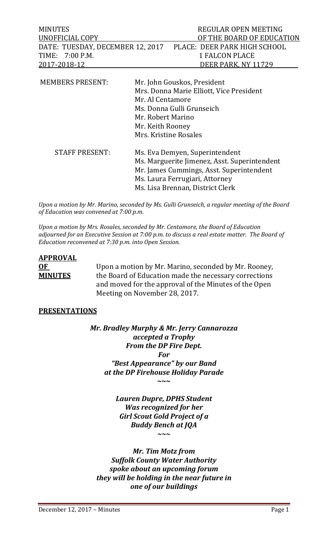| <b>MINUTES</b>                                                | REGULAR OPEN MEETING      |
|---------------------------------------------------------------|---------------------------|
| UNOFFICIAL COPY                                               | OF THE BOARD OF EDUCATION |
| DATE: TUESDAY, DECEMBER 12, 2017 PLACE: DEER PARK HIGH SCHOOL |                           |
| TIME: 7:00 P.M.                                               | 1 FALCON PLACE            |
| 2017-2018-12                                                  | DEER PARK, NY 11729       |
|                                                               |                           |

| <b>MEMBERS PRESENT:</b> | Mr. John Gouskos, President<br>Mrs. Donna Marie Elliott, Vice President<br>Mr. Al Centamore<br>Ms. Donna Gulli Grunseich<br>Mr. Robert Marino<br>Mr. Keith Rooney<br>Mrs. Kristine Rosales       |
|-------------------------|--------------------------------------------------------------------------------------------------------------------------------------------------------------------------------------------------|
| <b>STAFF PRESENT:</b>   | Ms. Eva Demyen, Superintendent<br>Ms. Marguerite Jimenez, Asst. Superintendent<br>Mr. James Cummings, Asst. Superintendent<br>Ms. Laura Ferrugiari, Attorney<br>Ms. Lisa Brennan, District Clerk |

*Upon a motion by Mr. Marino, seconded by Ms. Gulli Grunseich, a regular meeting of the Board of Education was convened at 7:00 p.m.*

*Upon a motion by Mrs. Rosales, seconded by Mr. Centamore, the Board of Education adjourned for an Executive Session at 7:00 p.m. to discuss a real estate matter. The Board of Education reconvened at 7:30 p.m. into Open Session.* 

# **APPROVAL OF** Upon a motion by Mr. Marino, seconded by Mr. Rooney,<br>**MINUTES** the Board of Education made the necessary corrections the Board of Education made the necessary corrections and moved for the approval of the Minutes of the Open Meeting on November 28, 2017.

#### **PRESENTATIONS**

*Mr. Bradley Murphy & Mr. Jerry Cannarozza accepted a Trophy From the DP Fire Dept. For "Best Appearance" by our Band at the DP Firehouse Holiday Parade* **~~~**

> *Lauren Dupre, DPHS Student Was recognized for her Girl Scout Gold Project of a Buddy Bench at JQA ~~~*

*Mr. Tim Motz from Suffolk County Water Authority spoke about an upcoming forum they will be holding in the near future in one of our buildings*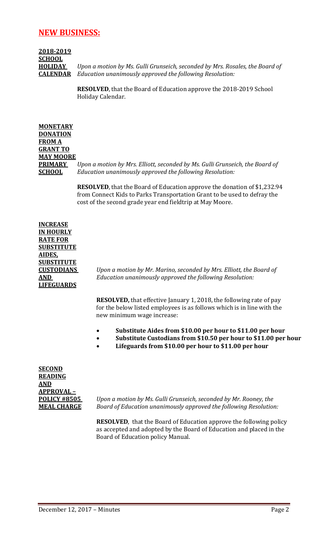# **NEW BUSINESS:**

# **2018-2019 SCHOOL**

**HOLIDAY** *Upon a motion by Ms. Gulli Grunseich, seconded by Mrs. Rosales, the Board of*  **CALENDAR** *Education unanimously approved the following Resolution:*

> **RESOLVED**, that the Board of Education approve the 2018-2019 School Holiday Calendar.

**MONETARY DONATION FROM A GRANT TO MAY MOORE PRIMARY** *Upon a motion by Mrs. Elliott, seconded by Ms. Gulli Grunseich, the Board of*  **SCHOOL** *Education unanimously approved the following Resolution:*

> **RESOLVED**, that the Board of Education approve the donation of \$1,232.94 from Connect Kids to Parks Transportation Grant to be used to defray the cost of the second grade year end fieldtrip at May Moore.

**INCREASE IN HOURLY RATE FOR SUBSTITUTE AIDES, SUBSTITUTE LIFEGUARDS**

**CUSTODIANS** *Upon a motion by Mr. Marino, seconded by Mrs. Elliott, the Board of*  **AND** *Education unanimously approved the following Resolution:*

> **RESOLVED,** that effective January 1, 2018, the following rate of pay for the below listed employees is as follows which is in line with the new minimum wage increase:

- **Substitute Aides from \$10.00 per hour to \$11.00 per hour**
- **Substitute Custodians from \$10.50 per hour to \$11.00 per hour**
- **Lifeguards from \$10.00 per hour to \$11.00 per hour**

**SECOND READING AND APPROVAL –**

**POLICY #8505** *Upon a motion by Ms. Gulli Grunseich, seconded by Mr. Rooney, the*  **MEAL CHARGE** *Board of Education unanimously approved the following Resolution:*

> **RESOLVED**, that the Board of Education approve the following policy as accepted and adopted by the Board of Education and placed in the Board of Education policy Manual.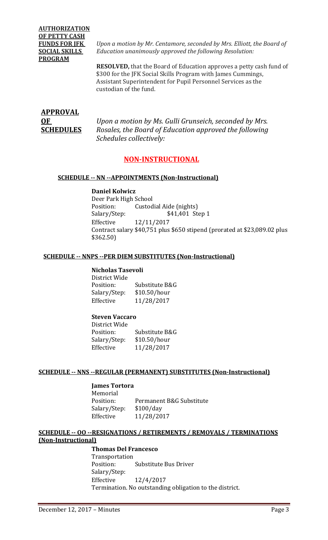# **AUTHORIZATION OF PETTY CASH PROGRAM**

**FUNDS FOR JFK** *Upon a motion by Mr. Centamore, seconded by Mrs. Elliott, the Board of*  **SOCIAL SKILLS** *Education unanimously approved the following Resolution:*

> **RESOLVED,** that the Board of Education approves a petty cash fund of \$300 for the JFK Social Skills Program with James Cummings, Assistant Superintendent for Pupil Personnel Services as the custodian of the fund.

# **APPROVAL**

**OF** *Upon a motion by Ms. Gulli Grunseich, seconded by Mrs.*  **SCHEDULES** *Rosales, the Board of Education approved the following Schedules collectively:*

# **NON-INSTRUCTIONAL**

#### **SCHEDULE -- NN --APPOINTMENTS (Non-Instructional)**

**Daniel Kolwicz** Deer Park High School<br>Position: Custod Position: Custodial Aide (nights)<br>Salary/Step: \$41,401 Ste \$41,401 Step 1 Effective 12/11/2017 Contract salary \$40,751 plus \$650 stipend (prorated at \$23,089.02 plus \$362.50)

#### **SCHEDULE -- NNPS --PER DIEM SUBSTITUTES (Non-Instructional)**

# **Nicholas Tasevoli**

District Wide Substitute B&G<br>\$10.50/hour Salary/Step:<br>Effective Effective 11/28/2017

#### **Steven Vaccaro**

District Wide Substitute B&G<br>\$10.50/hour Salary/Step: Effective 11/28/2017

#### **SCHEDULE -- NNS --REGULAR (PERMANENT) SUBSTITUTES (Non-Instructional)**

#### **James Tortora**

Memorial<br>Position: Permanent B&G Substitute<br>\$100/day Salary/Step:<br>Effective Effective 11/28/2017

### **SCHEDULE -- OO --RESIGNATIONS / RETIREMENTS / REMOVALS / TERMINATIONS (Non-Instructional)**

**Thomas Del Francesco** Transportation Substitute Bus Driver Salary/Step: Effective 12/4/2017 Termination. No outstanding obligation to the district.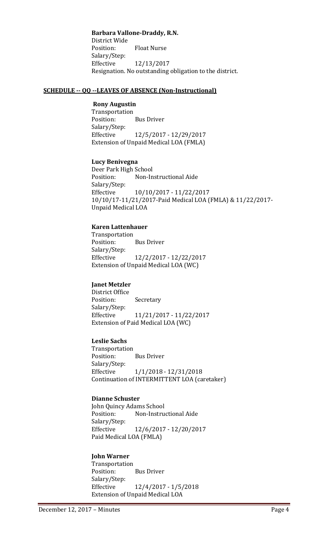**Barbara Vallone-Draddy, R.N.**

District Wide<br>Position: **Float Nurse** Salary/Step: Effective 12/13/2017 Resignation. No outstanding obligation to the district.

#### **SCHEDULE -- QQ --LEAVES OF ABSENCE (Non-Instructional)**

#### **Rony Augustin**

Transportation<br>Position: **Bus Driver** Salary/Step:<br>Effective Effective 12/5/2017 - 12/29/2017 Extension of Unpaid Medical LOA (FMLA)

#### **Lucy Benivegna**

Deer Park High School<br>Position: Non-In Non-Instructional Aide Salary/Step:<br>Effective Effective 10/10/2017 - 11/22/2017 10/10/17-11/21/2017-Paid Medical LOA (FMLA) & 11/22/2017- Unpaid Medical LOA

#### **Karen Lattenhauer**

Transportation **Bus Driver** Salary/Step: Effective 12/2/2017 - 12/22/2017 Extension of Unpaid Medical LOA (WC)

#### **Janet Metzler**

District Office Secretary Salary/Step: Effective 11/21/2017 - 11/22/2017 Extension of Paid Medical LOA (WC)

#### **Leslie Sachs**

Transportation<br>Position: **Bus Driver** Salary/Step: Effective 1/1/2018 - 12/31/2018 Continuation of INTERMITTENT LOA (caretaker)

#### **Dianne Schuster**

John Quincy Adams School<br>Position: Non-Instru Non-Instructional Aide Salary/Step: Effective 12/6/2017 - 12/20/2017 Paid Medical LOA (FMLA)

#### **John Warner**

Transportation **Bus Driver** Salary/Step:<br>Effective Effective 12/4/2017 - 1/5/2018 Extension of Unpaid Medical LOA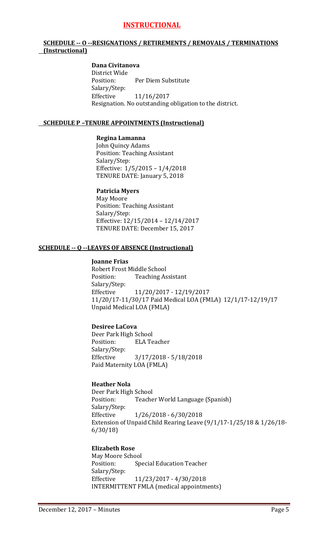# **INSTRUCTIONAL**

#### **SCHEDULE -- O --RESIGNATIONS / RETIREMENTS / REMOVALS / TERMINATIONS (Instructional)**

#### **Dana Civitanova**

District Wide Per Diem Substitute Salary/Step:<br>Effective Effective 11/16/2017 Resignation. No outstanding obligation to the district.

#### **SCHEDULE P –TENURE APPOINTMENTS (Instructional)**

#### **Regina Lamanna**

John Quincy Adams Position: Teaching Assistant Salary/Step: Effective: 1/5/2015 – 1/4/2018 TENURE DATE: January 5, 2018

**Patricia Myers** May Moore Position: Teaching Assistant Salary/Step: Effective: 12/15/2014 – 12/14/2017 TENURE DATE: December 15, 2017

#### **SCHEDULE -- Q --LEAVES OF ABSENCE (Instructional)**

#### **Joanne Frias**

Robert Frost Middle School<br>Position: Teaching As **Teaching Assistant** Salary/Step: Effective 11/20/2017 - 12/19/2017 11/20/17-11/30/17 Paid Medical LOA (FMLA) 12/1/17-12/19/17 Unpaid Medical LOA (FMLA)

#### **Desiree LaCova**

Deer Park High School<br>Position: ELA Te **ELA Teacher** Salary/Step:<br>Effective Effective 3/17/2018 - 5/18/2018 Paid Maternity LOA (FMLA)

### **Heather Nola**

Deer Park High School<br>Position: Teache Teacher World Language (Spanish) Salary/Step:<br>Effective  $1/26/2018 - 6/30/2018$ Extension of Unpaid Child Rearing Leave (9/1/17-1/25/18 & 1/26/18- 6/30/18)

#### **Elizabeth Rose**

May Moore School<br>Position: Spe **Special Education Teacher** Salary/Step: Effective 11/23/2017 - 4/30/2018 INTERMITTENT FMLA (medical appointments)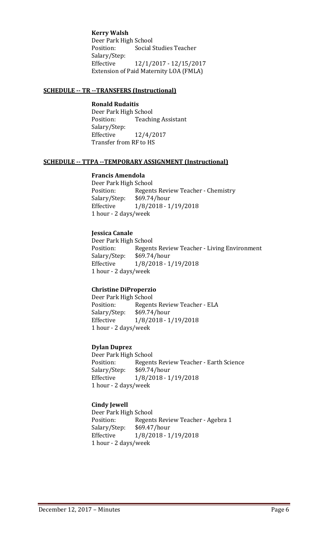**Kerry Walsh** Deer Park High School<br>Position: Social ! **Social Studies Teacher** Salary/Step: Effective 12/1/2017 - 12/15/2017 Extension of Paid Maternity LOA (FMLA)

#### **SCHEDULE -- TR --TRANSFERS (Instructional)**

#### **Ronald Rudaitis**

Deer Park High School<br>Position: Teachi **Teaching Assistant** Salary/Step:<br>Effective Effective 12/4/2017 Transfer from RF to HS

#### **SCHEDULE -- TTPA --TEMPORARY ASSIGNMENT (Instructional)**

#### **Francis Amendola**

Deer Park High School<br>Position: Regent Position: Regents Review Teacher - Chemistry<br>Salary/Step: \$69.74/hour \$69.74/hour Effective 1/8/2018 - 1/19/2018 1 hour - 2 days/week

#### **Jessica Canale**

Deer Park High School<br>Position: Regent Regents Review Teacher - Living Environment<br>\$69.74/hour Salary/Step: Effective 1/8/2018 - 1/19/2018 1 hour - 2 days/week

#### **Christine DiProperzio**

Deer Park High School Position: Regents Review Teacher - ELA<br>Salary/Step: \$69.74/hour Salary/Step: \$69.74/hour<br>Effective 1/8/2018 - 1 Effective 1/8/2018 - 1/19/2018 1 hour - 2 days/week

#### **Dylan Duprez**

Deer Park High School<br>Position: Regent Position: Regents Review Teacher - Earth Science<br>Salary/Step: \$69.74/hour \$69.74/hour Effective 1/8/2018 - 1/19/2018 1 hour - 2 days/week

#### **Cindy Jewell**

Deer Park High School<br>Position: Regent Position: Regents Review Teacher - Agebra 1<br>Salary/Step: \$69.47/hour Salary/Step: \$69.47/hour<br>Effective 1/8/2018 - 1 Effective 1/8/2018 - 1/19/2018 1 hour - 2 days/week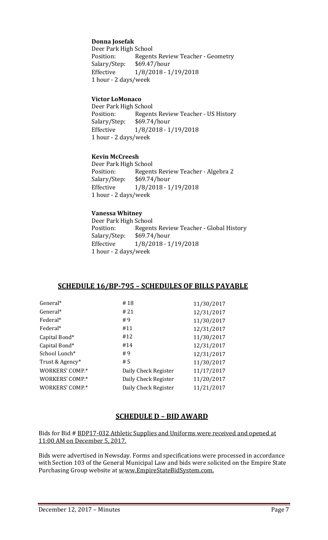## **Donna Josefak**

Deer Park High School<br>Position: Regent Position: Regents Review Teacher - Geometry<br>Salary/Step: \$69.47/hour Salary/Step: \$69.47/hour<br>Effective 1/8/2018 - 1 Effective 1/8/2018 - 1/19/2018 1 hour - 2 days/week

#### **Victor LoMonaco**

Deer Park High School<br>Position: Regent Regents Review Teacher - US History<br>\$69.74/hour Salary/Step:<br>Effective Effective 1/8/2018 - 1/19/2018 1 hour - 2 days/week

#### **Kevin McCreesh**

Deer Park High School<br>Position: Regent Regents Review Teacher - Algebra 2<br>\$69.74/hour Salary/Step:<br>Effective Effective 1/8/2018 - 1/19/2018 1 hour - 2 days/week

#### **Vanessa Whitney**

Deer Park High School<br>Position: Regent Position: Regents Review Teacher - Global History<br>Salary/Step: \$69.74/hour Salary/Step: \$69.74/hour Effective 1/8/2018 - 1/19/2018 1 hour - 2 days/week

#### **SCHEDULE 16/BP-795 – SCHEDULES OF BILLS PAYABLE**

| General*        | #18                  | 11/30/2017 |
|-----------------|----------------------|------------|
| General*        | # 21                 | 12/31/2017 |
| Federal*        | #9                   | 11/30/2017 |
| Federal*        | #11                  | 12/31/2017 |
| Capital Bond*   | #12                  | 11/30/2017 |
| Capital Bond*   | #14                  | 12/31/2017 |
| School Lunch*   | # 9                  | 12/31/2017 |
| Trust & Agency* | #5                   | 11/30/2017 |
| WORKERS' COMP.* | Daily Check Register | 11/17/2017 |
| WORKERS' COMP.* | Daily Check Register | 11/20/2017 |
| WORKERS' COMP.* | Daily Check Register | 11/21/2017 |
|                 |                      |            |

# **SCHEDULE D – BID AWARD**

Bids for Bid # BDP17-032 Athletic Supplies and Uniforms were received and opened at 11:00 AM on December 5, 2017.

Bids were advertised in Newsday. Forms and specifications were processed in accordance with Section 103 of the General Municipal Law and bids were solicited on the Empire State Purchasing Group website at <u>w-ww.EmpireStateBidSystem.com.</u>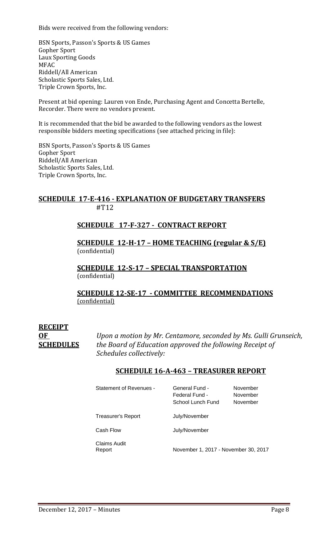Bids were received from the following vendors:

BSN Sports, Passon's Sports & US Games Gopher Sport Laux Sporting Goods MFAC Riddell/All American Scholastic Sports Sales, Ltd. Triple Crown Sports, Inc.

Present at bid opening: Lauren von Ende, Purchasing Agent and Concetta Bertelle, Recorder. There were no vendors present.

It is recommended that the bid be awarded to the following vendors as the lowest responsible bidders meeting specifications (see attached pricing in file):

BSN Sports, Passon's Sports & US Games Gopher Sport Riddell/All American Scholastic Sports Sales, Ltd. Triple Crown Sports, Inc.

# **SCHEDULE 17-E-416 - EXPLANATION OF BUDGETARY TRANSFERS** #T12

# **SCHEDULE 17-F-327 - CONTRACT REPORT**

**SCHEDULE 12-H-17 – HOME TEACHING (regular & S/E)**  (confidential)

**SCHEDULE 12-S-17 – SPECIAL TRANSPORTATION**  (confidential)

**SCHEDULE 12-SE-17 - COMMITTEE RECOMMENDATIONS** (confidential)

# **RECEIPT**

**OF** *Upon a motion by Mr. Centamore, seconded by Ms. Gulli Grunseich,* **SCHEDULES** *the Board of Education approved the following Receipt of Schedules collectively:*

# **SCHEDULE 16-A-463 – TREASURER REPORT**

| <b>Statement of Revenues -</b> | General Fund -<br>Federal Fund -<br>School Lunch Fund | November<br>November<br>November |
|--------------------------------|-------------------------------------------------------|----------------------------------|
| Treasurer's Report             | July/November                                         |                                  |
| Cash Flow                      | July/November                                         |                                  |
| Claims Audit<br>Report         | November 1, 2017 - November 30, 2017                  |                                  |